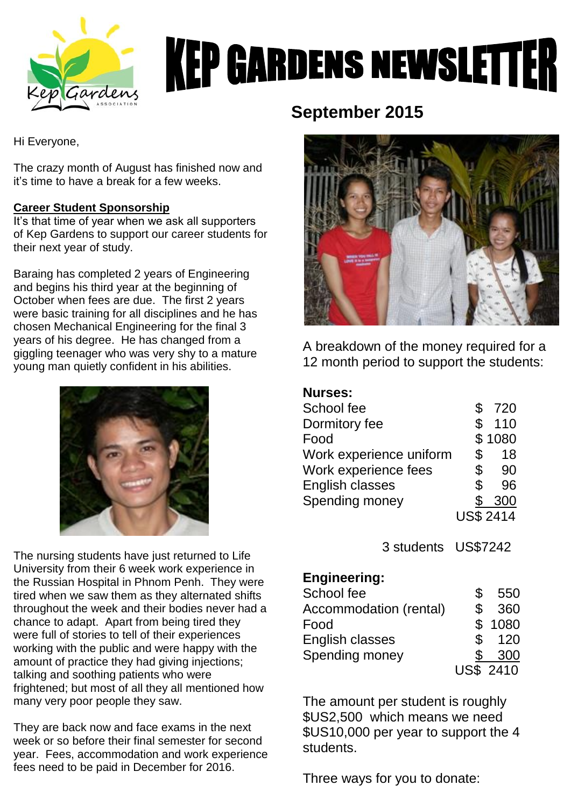

# **KEP GARDENS NEWSLETTER**

Hi Everyone,

The crazy month of August has finished now and it's time to have a break for a few weeks.

# **Career Student Sponsorship**

It's that time of year when we ask all supporters of Kep Gardens to support our career students for their next year of study.

Baraing has completed 2 years of Engineering and begins his third year at the beginning of October when fees are due. The first 2 years were basic training for all disciplines and he has chosen Mechanical Engineering for the final 3 years of his degree. He has changed from a giggling teenager who was very shy to a mature young man quietly confident in his abilities.



The nursing students have just returned to Life University from their 6 week work experience in the Russian Hospital in Phnom Penh. They were tired when we saw them as they alternated shifts throughout the week and their bodies never had a chance to adapt. Apart from being tired they were full of stories to tell of their experiences working with the public and were happy with the amount of practice they had giving injections; talking and soothing patients who were frightened; but most of all they all mentioned how many very poor people they saw.

They are back now and face exams in the next week or so before their final semester for second year. Fees, accommodation and work experience fees need to be paid in December for 2016.

# **September 2015**



A breakdown of the money required for a 12 month period to support the students:

| <b>Nurses:</b>          |                  |
|-------------------------|------------------|
| School fee              | \$<br>720        |
| Dormitory fee           | \$<br>110        |
| Food                    | \$1080           |
| Work experience uniform | \$<br>18         |
| Work experience fees    | \$<br>90         |
| <b>English classes</b>  | \$<br>96         |
| Spending money          | 300              |
|                         | <b>US\$ 2414</b> |

3 students US\$7242

# **Engineering:**

| School fee             | S  | 550              |
|------------------------|----|------------------|
| Accommodation (rental) | \$ | 360              |
| Food                   |    | \$1080           |
| English classes        | \$ | 120              |
| Spending money         | S  | 300              |
|                        |    | <b>US\$ 2410</b> |

The amount per student is roughly \$US2,500 which means we need \$US10,000 per year to support the 4 students.

Three ways for you to donate: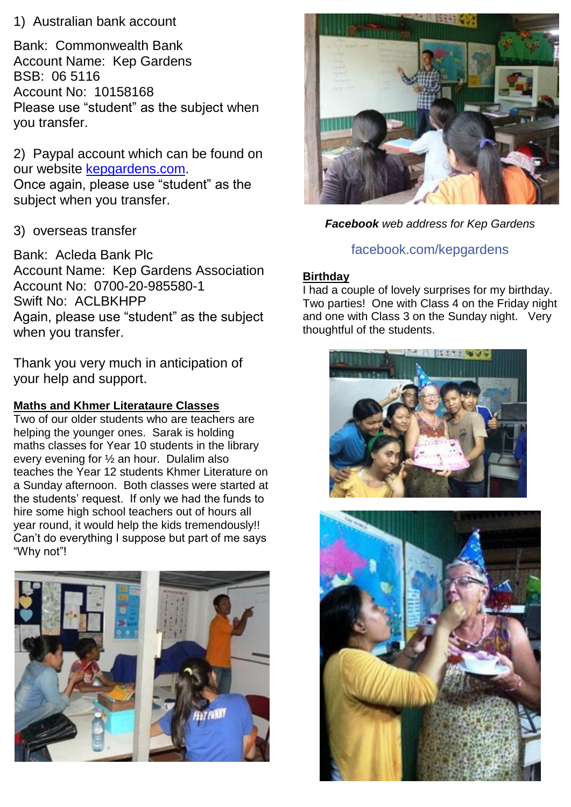# 1) Australian bank account

Bank: Commonwealth Bank Account Name: Kep Gardens BSB: 06 5116 Account No: 10158168 Please use "student" as the subject when you transfer.

2) Paypal account which can be found on our website [kepgardens.com.](http://www.kepgardens.com/) Once again, please use "student" as the subject when you transfer.

# 3) overseas transfer

Bank: Acleda Bank Plc Account Name: Kep Gardens Association Account No: 0700-20-985580-1 Swift No: ACLBKHPP Again, please use "student" as the subject when you transfer.

Thank you very much in anticipation of your help and support.

# **Maths and Khmer Literataure Classes**

Two of our older students who are teachers are helping the younger ones. Sarak is holding maths classes for Year 10 students in the library every evening for ½ an hour. Dulalim also teaches the Year 12 students Khmer Literature on a Sunday afternoon. Both classes were started at the students' request. If only we had the funds to hire some high school teachers out of hours all year round, it would help the kids tremendously!! Can't do everything I suppose but part of me says "Why not"!





*Facebook web address for Kep Gardens*

# [facebook.com/kepgardens](https://www.facebook.com/kepgardens)

#### **Birthday**

I had a couple of lovely surprises for my birthday. Two parties! One with Class 4 on the Friday night and one with Class 3 on the Sunday night. Very thoughtful of the students.



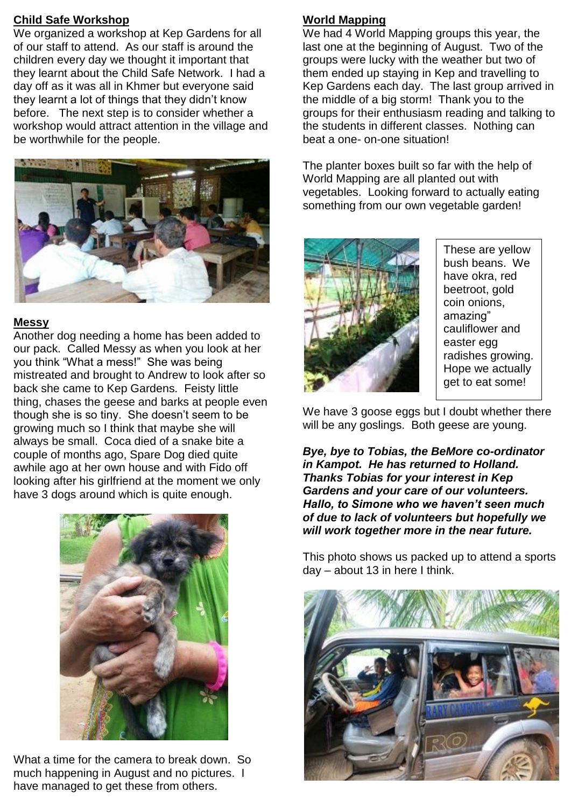#### **Child Safe Workshop**

We organized a workshop at Kep Gardens for all of our staff to attend. As our staff is around the children every day we thought it important that they learnt about the Child Safe Network. I had a day off as it was all in Khmer but everyone said they learnt a lot of things that they didn't know before. The next step is to consider whether a workshop would attract attention in the village and be worthwhile for the people.



#### **Messy**

Another dog needing a home has been added to our pack. Called Messy as when you look at her you think "What a mess!" She was being mistreated and brought to Andrew to look after so back she came to Kep Gardens. Feisty little thing, chases the geese and barks at people even though she is so tiny. She doesn't seem to be growing much so I think that maybe she will always be small. Coca died of a snake bite a couple of months ago, Spare Dog died quite awhile ago at her own house and with Fido off looking after his girlfriend at the moment we only have 3 dogs around which is quite enough.



What a time for the camera to break down. So much happening in August and no pictures. I have managed to get these from others.

#### **World Mapping**

We had 4 World Mapping groups this year, the last one at the beginning of August. Two of the groups were lucky with the weather but two of them ended up staying in Kep and travelling to Kep Gardens each day. The last group arrived in the middle of a big storm! Thank you to the groups for their enthusiasm reading and talking to the students in different classes. Nothing can beat a one- on-one situation!

The planter boxes built so far with the help of World Mapping are all planted out with vegetables. Looking forward to actually eating something from our own vegetable garden!



These are yellow bush beans. We have okra, red beetroot, gold coin onions, amazing" cauliflower and easter egg radishes growing. Hope we actually get to eat some!

We have 3 goose eggs but I doubt whether there will be any goslings. Both geese are young.

*Bye, bye to Tobias, the BeMore co-ordinator in Kampot. He has returned to Holland. Thanks Tobias for your interest in Kep Gardens and your care of our volunteers. Hallo, to Simone who we haven't seen much of due to lack of volunteers but hopefully we will work together more in the near future.*

This photo shows us packed up to attend a sports day – about 13 in here I think.